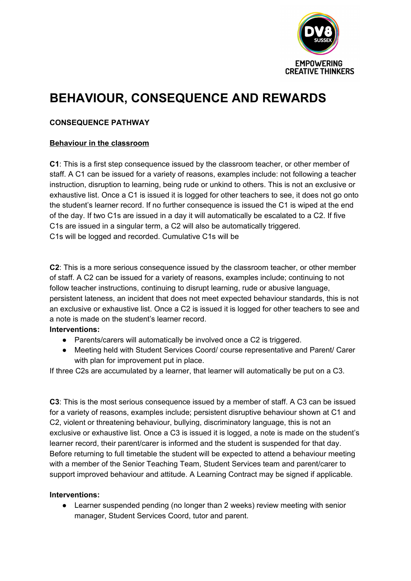

# **BEHAVIOUR, CONSEQUENCE AND REWARDS**

## **CONSEQUENCE PATHWAY**

## **Behaviour in the classroom**

**C1**: This is a first step consequence issued by the classroom teacher, or other member of staff. A C1 can be issued for a variety of reasons, examples include: not following a teacher instruction, disruption to learning, being rude or unkind to others. This is not an exclusive or exhaustive list. Once a C1 is issued it is logged for other teachers to see, it does not go onto the student's learner record. If no further consequence is issued the C1 is wiped at the end of the day. If two C1s are issued in a day it will automatically be escalated to a C2. If five C1s are issued in a singular term, a C2 will also be automatically triggered. C1s will be logged and recorded. Cumulative C1s will be

**C2**: This is a more serious consequence issued by the classroom teacher, or other member of staff. A C2 can be issued for a variety of reasons, examples include; continuing to not follow teacher instructions, continuing to disrupt learning, rude or abusive language, persistent lateness, an incident that does not meet expected behaviour standards, this is not an exclusive or exhaustive list. Once a C2 is issued it is logged for other teachers to see and a note is made on the student's learner record.

#### **Interventions:**

- Parents/carers will automatically be involved once a C2 is triggered.
- Meeting held with Student Services Coord/ course representative and Parent/ Carer with plan for improvement put in place.

If three C2s are accumulated by a learner, that learner will automatically be put on a C3.

**C3**: This is the most serious consequence issued by a member of staff. A C3 can be issued for a variety of reasons, examples include; persistent disruptive behaviour shown at C1 and C2, violent or threatening behaviour, bullying, discriminatory language, this is not an exclusive or exhaustive list. Once a C3 is issued it is logged, a note is made on the student's learner record, their parent/carer is informed and the student is suspended for that day. Before returning to full timetable the student will be expected to attend a behaviour meeting with a member of the Senior Teaching Team, Student Services team and parent/carer to support improved behaviour and attitude. A Learning Contract may be signed if applicable.

## **Interventions:**

• Learner suspended pending (no longer than 2 weeks) review meeting with senior manager, Student Services Coord, tutor and parent.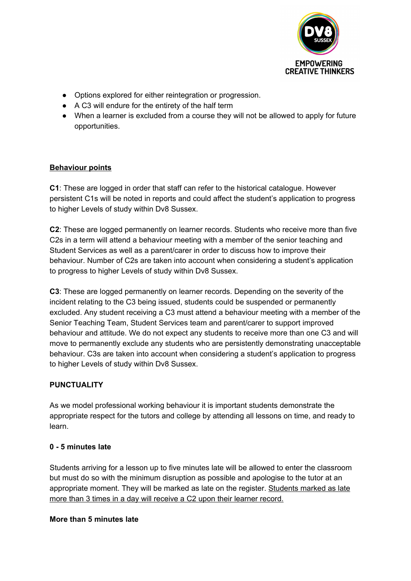

- Options explored for either reintegration or progression.
- A C3 will endure for the entirety of the half term
- When a learner is excluded from a course they will not be allowed to apply for future opportunities.

## **Behaviour points**

**C1**: These are logged in order that staff can refer to the historical catalogue. However persistent C1s will be noted in reports and could affect the student's application to progress to higher Levels of study within Dv8 Sussex.

**C2**: These are logged permanently on learner records. Students who receive more than five C2s in a term will attend a behaviour meeting with a member of the senior teaching and Student Services as well as a parent/carer in order to discuss how to improve their behaviour. Number of C2s are taken into account when considering a student's application to progress to higher Levels of study within Dv8 Sussex.

**C3**: These are logged permanently on learner records. Depending on the severity of the incident relating to the C3 being issued, students could be suspended or permanently excluded. Any student receiving a C3 must attend a behaviour meeting with a member of the Senior Teaching Team, Student Services team and parent/carer to support improved behaviour and attitude. We do not expect any students to receive more than one C3 and will move to permanently exclude any students who are persistently demonstrating unacceptable behaviour. C3s are taken into account when considering a student's application to progress to higher Levels of study within Dv8 Sussex.

# **PUNCTUALITY**

As we model professional working behaviour it is important students demonstrate the appropriate respect for the tutors and college by attending all lessons on time, and ready to learn.

## **0 - 5 minutes late**

Students arriving for a lesson up to five minutes late will be allowed to enter the classroom but must do so with the minimum disruption as possible and apologise to the tutor at an appropriate moment. They will be marked as late on the register. Students marked as late more than 3 times in a day will receive a C2 upon their learner record.

## **More than 5 minutes late**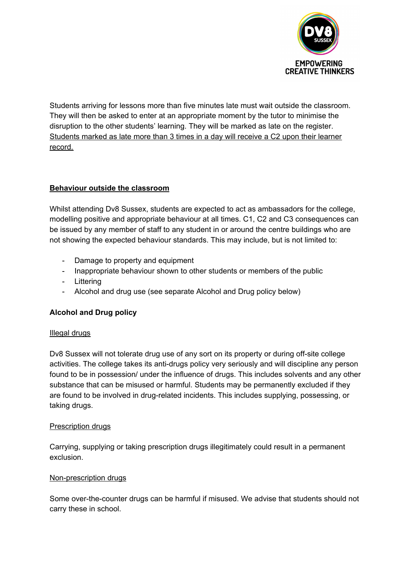

Students arriving for lessons more than five minutes late must wait outside the classroom. They will then be asked to enter at an appropriate moment by the tutor to minimise the disruption to the other students' learning. They will be marked as late on the register. Students marked as late more than 3 times in a day will receive a C2 upon their learner record.

## **Behaviour outside the classroom**

Whilst attending Dv8 Sussex, students are expected to act as ambassadors for the college, modelling positive and appropriate behaviour at all times. C1, C2 and C3 consequences can be issued by any member of staff to any student in or around the centre buildings who are not showing the expected behaviour standards. This may include, but is not limited to:

- Damage to property and equipment
- Inappropriate behaviour shown to other students or members of the public
- Littering
- Alcohol and drug use (see separate Alcohol and Drug policy below)

## **Alcohol and Drug policy**

#### Illegal drugs

Dv8 Sussex will not tolerate drug use of any sort on its property or during off-site college activities. The college takes its anti-drugs policy very seriously and will discipline any person found to be in possession/ under the influence of drugs. This includes solvents and any other substance that can be misused or harmful. Students may be permanently excluded if they are found to be involved in drug-related incidents. This includes supplying, possessing, or taking drugs.

#### Prescription drugs

Carrying, supplying or taking prescription drugs illegitimately could result in a permanent exclusion.

## Non-prescription drugs

Some over-the-counter drugs can be harmful if misused. We advise that students should not carry these in school.